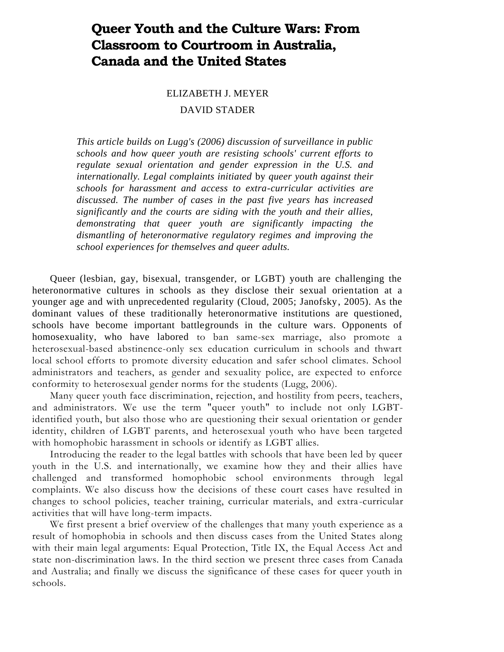# **Queer Youth and the Culture Wars: From Classroom to Courtroom in Australia, Canada and the United States**

## ELIZABETH J. MEYER DAVID STADER

*This article builds on Lugg's (2006) discussion of surveillance in public schools and how queer youth are resisting schools' current efforts to regulate sexual orientation and gender expression in the U.S. and internationally. Legal complaints initiated* by *queer youth against their schools for harassment and access to extra-curricular activities are discussed. The number of cases in the past five years has increased significantly and the courts are siding with the youth and their allies, demonstrating that queer youth are significantly impacting the dismantling of heteronormative regulatory regimes and improving the school experiences for themselves and queer adults.*

Queer (lesbian, gay, bisexual, transgender, or LGBT) youth are challenging the heteronormative cultures in schools as they disclose their sexual orientation at a younger age and with unprecedented regularity (Cloud, 2005; Janofsky, 2005). As the dominant values of these traditionally heteronormative institutions are questioned, schools have become important battlegrounds in the culture wars. Opponents of homosexuality, who have labored to ban same-sex marriage, also promote a heterosexual-based abstinence-only sex education curriculum in schools and thwart local school efforts to promote diversity education and safer school climates. School administrators and teachers, as gender and sexuality police, are expected to enforce conformity to heterosexual gender norms for the students (Lugg, 2006).

Many queer youth face discrimination, rejection, and hostility from peers, teachers, and administrators. We use the term "queer youth" to include not only LGBTidentified youth, but also those who are questioning their sexual orientation or gender identity, children of LGBT parents, and heterosexual youth who have been targeted with homophobic harassment in schools or identify as LGBT allies.

Introducing the reader to the legal battles with schools that have been led by queer youth in the U.S. and internationally, we examine how they and their allies have challenged and transformed homophobic school environments through legal complaints. We also discuss how the decisions of these court cases have resulted in changes to school policies, teacher training, curricular materials, and extra -curricular activities that will have long-term impacts.

We first present a brief overview of the challenges that many youth experience as a result of homophobia in schools and then discuss cases from the United States along with their main legal arguments: Equal Protection, Title IX, the Equal Access Act and state non-discrimination laws. In the third section we present three cases from Canada and Australia; and finally we discuss the significance of these cases for queer youth in schools.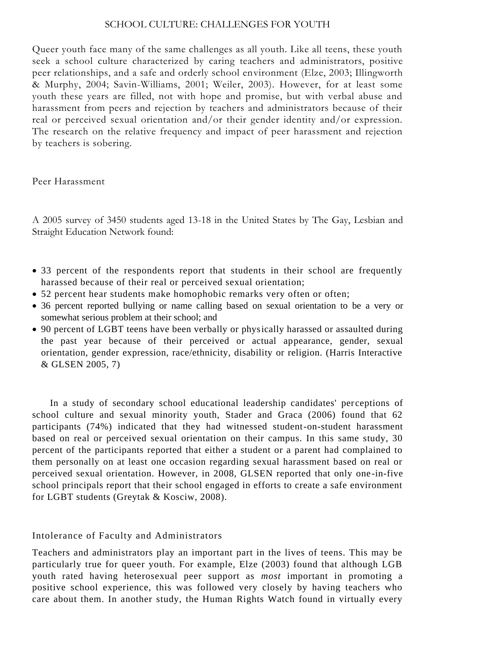## SCHOOL CULTURE: CHALLENGES FOR YOUTH

Queer youth face many of the same challenges as all youth. Like all teens, these youth seek a school culture characterized by caring teachers and administrators, positive peer relationships, and a safe and orderly school environment (Elze, 2003; Illingworth & Murphy, 2004; Savin-Williams, 2001; Weiler, 2003). However, for at least some youth these years are filled, not with hope and promise, but with verbal abuse and harassment from peers and rejection by teachers and administrators because of their real or perceived sexual orientation and/or their gender identity and/or expression. The research on the relative frequency and impact of peer harassment and rejection by teachers is sobering.

## Peer Harassment

A 2005 survey of 3450 students aged 13-18 in the United States by The Gay, Lesbian and Straight Education Network found:

- 33 percent of the respondents report that students in their school are frequently harassed because of their real or perceived sexual orientation;
- 52 percent hear students make homophobic remarks very often or often;
- 36 percent reported bullying or name calling based on sexual orientation to be a very or somewhat serious problem at their school; and
- 90 percent of LGBT teens have been verbally or physically harassed or assaulted during the past year because of their perceived or actual appearance, gender, sexual orientation, gender expression, race/ethnicity, disability or religion. (Harris Interactive & GLSEN 2005, 7)

In a study of secondary school educational leadership candidates' perceptions of school culture and sexual minority youth, Stader and Graca (2006) found that 62 participants (74%) indicated that they had witnessed student-on-student harassment based on real or perceived sexual orientation on their campus. In this same study, 30 percent of the participants reported that either a student or a parent had complained to them personally on at least one occasion regarding sexual harassment based on real or perceived sexual orientation. However, in 2008, GLSEN reported that only one-in-five school principals report that their school engaged in efforts to create a safe environment for LGBT students (Greytak & Kosciw, 2008).

## Intolerance of Faculty and Administrators

Teachers and administrators play an important part in the lives of teens. This may be particularly true for queer youth. For example, Elze (2003) found that although LGB youth rated having heterosexual peer support as *most* important in promoting a positive school experience, this was followed very closely by having teachers who care about them. In another study, the Human Rights Watch found in virtually every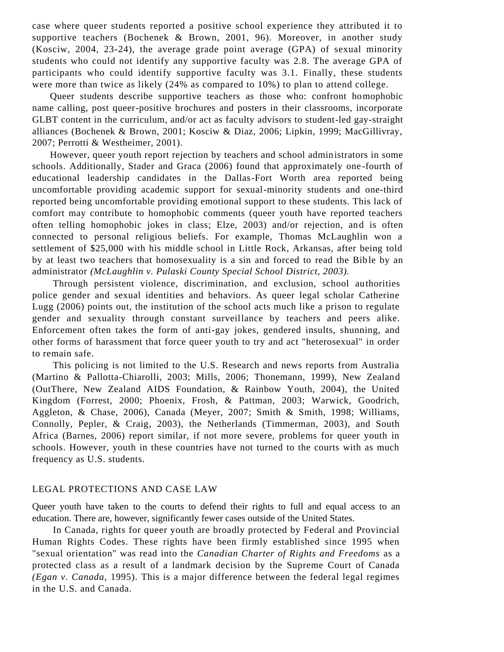case where queer students reported a positive school experience they attributed it to supportive teachers (Bochenek & Brown, 2001, 96). Moreover, in another study (Kosciw, 2004, 23-24), the average grade point average (GPA) of sexual minority students who could not identify any supportive faculty was 2.8. The average GPA of participants who could identify supportive faculty was 3.1. Finally, these students were more than twice as likely (24% as compared to 10%) to plan to attend college.

Queer students describe supportive teachers as those who: confront homophobic name calling, post queer-positive brochures and posters in their classrooms, incorporate GLBT content in the curriculum, and/or act as faculty advisors to student-led gay-straight alliances (Bochenek & Brown, 2001; Kosciw & Diaz, 2006; Lipkin, 1999; MacGillivray, 2007; Perrotti & Westheimer, 2001).

However, queer youth report rejection by teachers and school administrators in some schools. Additionally, Stader and Graca (2006) found that approximately one -fourth of educational leadership candidates in the Dallas-Fort Worth area reported being uncomfortable providing academic support for sexual-minority students and one-third reported being uncomfortable providing emotional support to these students. This lack of comfort may contribute to homophobic comments (queer youth have reported teachers often telling homophobic jokes in class; Elze, 2003) and/or rejection, and is often connected to personal religious beliefs. For example, Thomas McLaughlin won a settlement of \$25,000 with his middle school in Little Rock, Arkansas, after being told by at least two teachers that homosexuality is a sin and forced to read the Bible by an administrator *(McLaughlin v. Pulaski County Special School District, 2003).*

Through persistent violence, discrimination, and exclusion, school authorities police gender and sexual identities and behaviors. As queer legal scholar Catherine Lugg (2006) points out, the institution of the school acts much like a prison to regulate gender and sexuality through constant surveillance by teachers and peers alike. Enforcement often takes the form of anti-gay jokes, gendered insults, shunning, and other forms of harassment that force queer youth to try and act "heterosexual" in order to remain safe.

This policing is not limited to the U.S. Research and news reports from Australia (Martino & Pallotta-Chiarolli, 2003; Mills, 2006; Thonemann, 1999), New Zealand (OutThere, New Zealand AIDS Foundation, & Rainbow Youth, 2004), the United Kingdom (Forrest, 2000; Phoenix, Frosh, & Pattman, 2003; Warwick, Goodrich, Aggleton, & Chase, 2006), Canada (Meyer, 2007; Smith & Smith, 1998; Williams, Connolly, Pepler, & Craig, 2003), the Netherlands (Timmerman, 2003), and South Africa (Barnes, 2006) report similar, if not more severe, problems for queer youth in schools. However, youth in these countries have not turned to the courts with as much frequency as U.S. students.

#### LEGAL PROTECTIONS AND CASE LAW

Queer youth have taken to the courts to defend their rights to full and equal access to an education. There are, however, significantly fewer cases outside of the United States.

In Canada, rights for queer youth are broadly protected by Federal and Provincial Human Rights Codes. These rights have been firmly established since 1995 when "sexual orientation" was read into the *Canadian Charter of Rights and Freedoms* as a protected class as a result of a landmark decision by the Supreme Court of Canada *(Egan v. Canada,* 1995). This is a major difference between the federal legal regimes in the U.S. and Canada.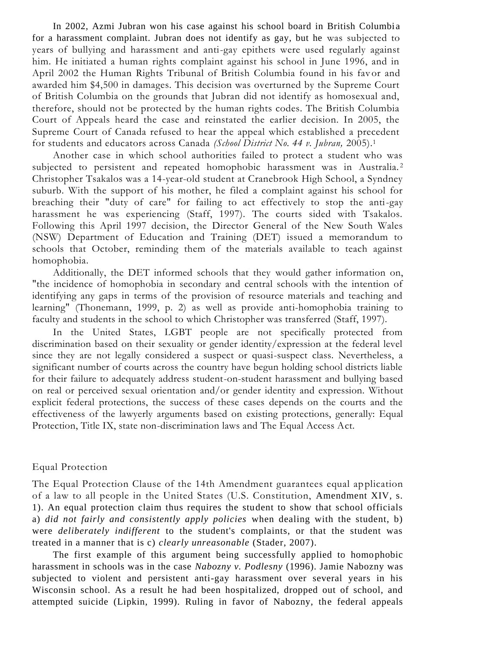In 2002, Azmi Jubran won his case against his school board in British Columbia for a harassment complaint. Jubran does not identify as gay, but he was subjected to years of bullying and harassment and anti-gay epithets were used regularly against him. He initiated a human rights complaint against his school in June 1996, and in April 2002 the Human Rights Tribunal of British Columbia found in his favor and awarded him \$4,500 in damages. This decision was overturned by the Supreme Court of British Columbia on the grounds that Jubran did not identify as homosexual and, therefore, should not be protected by the human rights codes. The British Columbia Court of Appeals heard the case and reinstated the earlier decision. In 2005, the Supreme Court of Canada refused to hear the appeal which established a precedent for students and educators across Canada *(School District No. 44 v. Jubran,* 2005).<sup>1</sup>

Another case in which school authorities failed to protect a student who was subjected to persistent and repeated homophobic harassment was in Australia.<sup>2</sup> Christopher Tsakalos was a 14-year-old student at Cranebrook High School, a Syndney suburb. With the support of his mother, he filed a complaint against his school for breaching their "duty of care" for failing to act effectively to stop the anti-gay harassment he was experiencing (Staff, 1997). The courts sided with Tsakalos. Following this April 1997 decision, the Director General of the New South Wales (NSW) Department of Education and Training (DET) issued a memorandum to schools that October, reminding them of the materials available to teach against homophobia.

Additionally, the DET informed schools that they would gather information on, "the incidence of homophobia in secondary and central schools with the intention of identifying any gaps in terms of the provision of resource materials and teaching and learning" (Thonemann, 1999, p. 2) as well as provide anti-homophobia training to faculty and students in the school to which Christopher was transferred (Staff, 1997).

In the United States, LGBT people are not specifically protected from discrimination based on their sexuality or gender identity/expression at the federal level since they are not legally considered a suspect or quasi-suspect class. Nevertheless, a significant number of courts across the country have begun holding school districts liable for their failure to adequately address student-on-student harassment and bullying based on real or perceived sexual orientation and/or gender identity and expression. Without explicit federal protections, the success of these cases depends on the courts and the effectiveness of the lawyerly arguments based on existing protections, generally: Equal Protection, Title IX, state non-discrimination laws and The Equal Access Act.

#### Equal Protection

The Equal Protection Clause of the 14th Amendment guarantees equal application of a law to all people in the United States (U.S. Constitution, Amendment XIV, s. 1). An equal protection claim thus requires the student to show that school officials a) *did not fairly and consistently apply policies* when dealing with the student, b) were *deliberately indifferent* to the student's complaints, or that the student was treated in a manner that is c) *clearly unreasonable* (Stader, 2007).

The first example of this argument being successfully applied to homophobic harassment in schools was in the case *Nabozny v. Podlesny* (1996). Jamie Nabozny was subjected to violent and persistent anti-gay harassment over several years in his Wisconsin school. As a result he had been hospitalized, dropped out of school, and attempted suicide (Lipkin, 1999). Ruling in favor of Nabozny, the federal appeals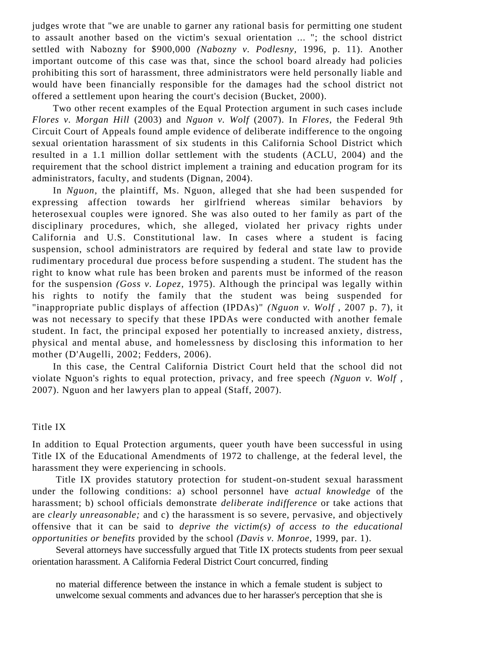judges wrote that "we are unable to garner any rational basis for permitting one student to assault another based on the victim's sexual orientation ... "; the school district settled with Nabozny for \$900,000 *(Nabozny v. Podlesny,* 1996, p. 11). Another important outcome of this case was that, since the school board already had policies prohibiting this sort of harassment, three administrators were held personally liable and would have been financially responsible for the damages had the school district not offered a settlement upon hearing the court's decision (Bucket, 2000).

Two other recent examples of the Equal Protection argument in such cases include *Flores v. Morgan Hill* (2003) and *Nguon v. Wolf* (2007). In *Flores,* the Federal 9th Circuit Court of Appeals found ample evidence of deliberate indifference to the ongoing sexual orientation harassment of six students in this California School District which resulted in a 1.1 million dollar settlement with the students (ACLU, 2004) and the requirement that the school district implement a training and education program for its administrators, faculty, and students (Dignan, 2004).

In *Nguon,* the plaintiff, Ms. Nguon, alleged that she had been suspended for expressing affection towards her girlfriend whereas similar behaviors by heterosexual couples were ignored. She was also outed to her family as part of the disciplinary procedures, which, she alleged, violated her privacy rights under California and U.S. Constitutional law. In cases where a student is facing suspension, school administrators are required by federal and state law to provide rudimentary procedural due process before suspending a student. The student has the right to know what rule has been broken and parents must be informed of the reason for the suspension *(Goss v. Lopez,* 1975). Although the principal was legally within his rights to notify the family that the student was being suspended for "inappropriate public displays of affection (IPDAs)" *(Nguon v. Wolf ,* 2007 p. 7), it was not necessary to specify that these IPDAs were conducted with another female student. In fact, the principal exposed her potentially to increased anxiety, distress, physical and mental abuse, and homelessness by disclosing this information to her mother (D'Augelli, 2002; Fedders, 2006).

In this case, the Central California District Court held that the school did not violate Nguon's rights to equal protection, privacy, and free speech *(Nguon v. Wolf ,*  2007). Nguon and her lawyers plan to appeal (Staff, 2007).

#### Title IX

In addition to Equal Protection arguments, queer youth have been successful in using Title IX of the Educational Amendments of 1972 to challenge, at the federal level, the harassment they were experiencing in schools.

Title IX provides statutory protection for student-on-student sexual harassment under the following conditions: a) school personnel have *actual knowledge* of the harassment; b) school officials demonstrate *deliberate indifference* or take actions that are *clearly unreasonable;* and c) the harassment is so severe, pervasive, and objectively offensive that it can be said to *deprive the victim(s) of access to the educational opportunities or benefits* provided by the school *(Davis v. Monroe,* 1999, par. 1).

Several attorneys have successfully argued that Title IX protects students from peer sexual orientation harassment. A California Federal District Court concurred, finding

no material difference between the instance in which a female student is subject to unwelcome sexual comments and advances due to her harasser's perception that she is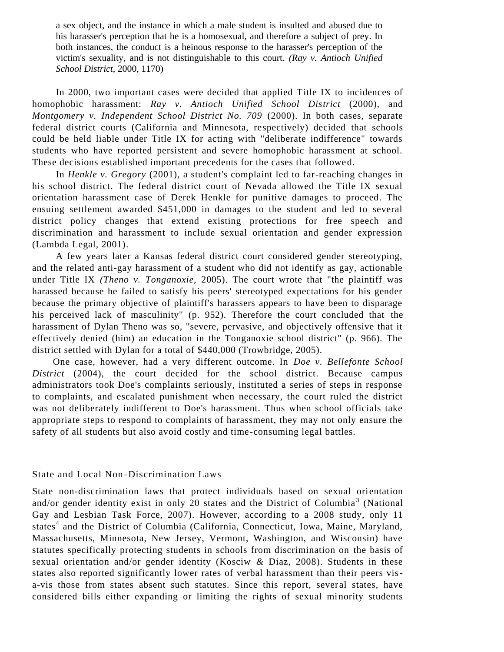a sex object, and the instance in which a male student is insulted and abused due to his harasser's perception that he is a homosexual, and therefore a subject of prey. In both instances, the conduct is a heinous response to the harasser's perception of the victim's sexuality, and is not distinguishable to this court. *(Ray v. Antioch Unified School District,* 2000, 1170)

In 2000, two important cases were decided that applied Title IX to incidences of homophobic harassment: *Ray v. Antioch Unified School District* (2000), and *Montgomery v. Independent School District No. 709 (2000). In both cases, separate* federal district courts (California and Minnesota, respectively) decided that schools could be held liable under Title IX for acting with "deliberate indifference" towards students who have reported persistent and severe homophobic harassment at school. These decisions established important precedents for the cases that followed.

In *Henkle v. Gregory* (2001), a student's complaint led to far-reaching changes in his school district. The federal district court of Nevada allowed the Title IX sexual orientation harassment case of Derek Henkle for punitive damages to proceed. The ensuing settlement awarded \$451,000 in damages to the student and led to several district policy changes that extend existing protections for free speech and discrimination and harassment to include sexual orientation and gender expression (Lambda Legal, 2001).

A few years later a Kansas federal district court considered gender stereotyping, and the related anti-gay harassment of a student who did not identify as gay, actionable under Title IX *(Theno v. Tonganoxie,* 2005). The court wrote that "the plaintiff was harassed because he failed to satisfy his peers' stereotyped expectations for his gender because the primary objective of plaintiff's harassers appears to have been to disparage his perceived lack of masculinity" (p. 952). Therefore the court concluded that the harassment of Dylan Theno was so, "severe, pervasive, and objectively offensive that it effectively denied (him) an education in the Tonganoxie school district" (p. 966). The district settled with Dylan for a total of \$440,000 (Trowbridge, 2005).

One case, however, had a very different outcome. In *Doe v. Bellefonte School District* (2004), the court decided for the school district. Because campus administrators took Doe's complaints seriously, instituted a series of steps in response to complaints, and escalated punishment when necessary, the court ruled the district was not deliberately indifferent to Doe's harassment. Thus when school officials take appropriate steps to respond to complaints of harassment, they may not only ensure the safety of all students but also avoid costly and time-consuming legal battles.

#### State and Local Non-Discrimination Laws

State non-discrimination laws that protect individuals based on sexual orientation and/or gender identity exist in only 20 states and the District of Columbia<sup>3</sup> (National Gay and Lesbian Task Force, 2007). However, according to a 2008 study, only 11 states<sup>4</sup> and the District of Columbia (California, Connecticut, Iowa, Maine, Maryland, Massachusetts, Minnesota, New Jersey, Vermont, Washington, and Wisconsin) have statutes specifically protecting students in schools from discrimination on the basis of sexual orientation and/or gender identity (Kosciw *&* Diaz, 2008). Students in these states also reported significantly lower rates of verbal harassment than their peers visa-vis those from states absent such statutes. Since this report, sever al states, have considered bills either expanding or limiting the rights of sexual minority students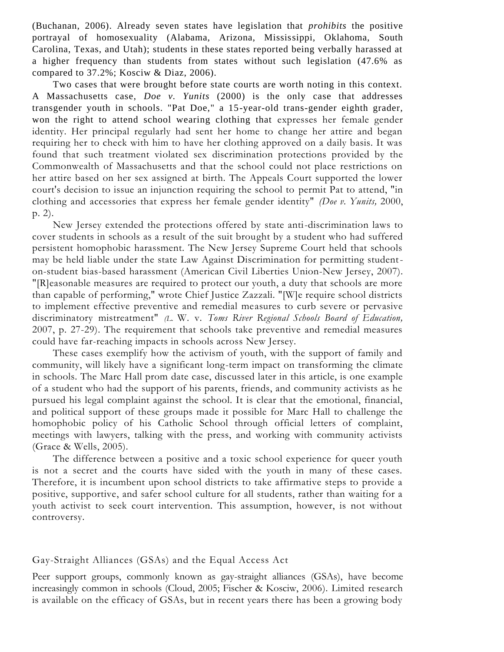(Buchanan, 2006). Already seven states have legislation that *prohibits* the positive portrayal of homosexuality (Alabama, Arizona, Mississippi, Oklahoma, South Carolina, Texas, and Utah); students in these states reported being verbally harassed at a higher frequency than students from states without such legislation (47.6% as compared to 37.2%; Kosciw & Diaz, 2006).

Two cases that were brought before state courts are worth noting in this context. A Massachusetts case, *Doe v. Yunits* (2000) is the only case that addresses transgender youth in schools. "Pat Doe," a 15-year-old trans-gender eighth grader, won the right to attend school wearing clothing that expresses her female gender identity. Her principal regularly had sent her home to change her attire and began requiring her to check with him to have her clothing approved on a daily basis. It was found that such treatment violated sex discrimination protections provided by the Commonwealth of Massachusetts and that the school could not place restrictions on her attire based on her sex assigned at birth. The Appeals Court supported the lower court's decision to issue an injunction requiring the school to permit Pat to attend, "in clothing and accessories that express her female gender identity" *(Doe v. Yunits,* 2000, p. 2).

New Jersey extended the protections offered by state anti-discrimination laws to cover students in schools as a result of the suit brought by a student who had suffered persistent homophobic harassment. The New Jersey Supreme Court held that schools may be held liable under the state Law Against Discrimination for permitting studenton-student bias-based harassment (American Civil Liberties Union-New Jersey, 2007). "[R]easonable measures are required to protect our youth, a duty that schools are more than capable of performing," wrote Chief Justice Zazzali. "[W]e require school districts to implement effective preventive and remedial measures to curb severe or pervasive discriminatory mistreatment" *(L.* W. v. *Toms River Regional Schools Board of Education,*  2007, p. 27-29). The requirement that schools take preventive and remedial measures could have far-reaching impacts in schools across New Jersey.

These cases exemplify how the activism of youth, with the support of family and community, will likely have a significant long-term impact on transforming the climate in schools. The Marc Hall prom date case, discussed later in this article, is one example of a student who had the support of his parents, friends, and community activists as he pursued his legal complaint against the school. It is clear that the emotional, financial, and political support of these groups made it possible for Marc Hall to challenge the homophobic policy of his Catholic School through official letters of complaint, meetings with lawyers, talking with the press, and working with community activists (Grace & Wells, 2005).

The difference between a positive and a toxic school experience for queer youth is not a secret and the courts have sided with the youth in many of these cases. Therefore, it is incumbent upon school districts to take affirmative steps to provide a positive, supportive, and safer school culture for all students, rather than waiting for a youth activist to seek court intervention. This assumption, however, is not without controversy.

## Gay-Straight Alliances (GSAs) and the Equal Access Act

Peer support groups, commonly known as gay-straight alliances (GSAs), have become increasingly common in schools (Cloud, 2005; Fischer & Kosciw, 2006). Limited research is available on the efficacy of GSAs, but in recent years there has been a growing body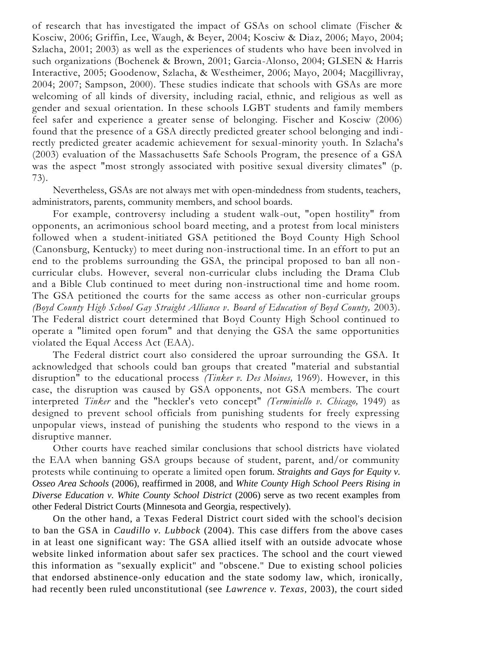of research that has investigated the impact of GSAs on school climate (Fischer & Kosciw, 2006; Griffin, Lee, Waugh, & Beyer, 2004; Kosciw & Diaz, 2006; Mayo, 2004; Szlacha, 2001; 2003) as well as the experiences of students who have been involved in such organizations (Bochenek & Brown, 2001; Garcia-Alonso, 2004; GLSEN & Harris Interactive, 2005; Goodenow, Szlacha, & Westheimer, 2006; Mayo, 2004; Macgillivray, 2004; 2007; Sampson, 2000). These studies indicate that schools with GSAs are more welcoming of all kinds of diversity, including racial, ethnic, and religious as well as gender and sexual orientation. In these schools LGBT students and family members feel safer and experience a greater sense of belonging. Fischer and Kosciw (2006) found that the presence of a GSA directly predicted greater school belonging and indirectly predicted greater academic achievement for sexual-minority youth. In Szlacha's (2003) evaluation of the Massachusetts Safe Schools Program, the presence of a GSA was the aspect "most strongly associated with positive sexual diversity climates" (p. 73).

Nevertheless, GSAs are not always met with open-mindedness from students, teachers, administrators, parents, community members, and school boards.

For example, controversy including a student walk-out, "open hostility" from opponents, an acrimonious school board meeting, and a protest from local ministers followed when a student-initiated GSA petitioned the Boyd County High School (Canonsburg, Kentucky) to meet during non-instructional time. In an effort to put an end to the problems surrounding the GSA, the principal proposed to ban all noncurricular clubs. However, several non-curricular clubs including the Drama Club and a Bible Club continued to meet during non-instructional time and home room. The GSA petitioned the courts for the same access as other non-curricular groups *(Boyd County High School Gay Straight Alliance v. Board of Education of Boyd County, 2003).* The Federal district court determined that Boyd County High School continued to operate a "limited open forum" and that denying the GSA the same opportunities violated the Equal Access Act (EAA).

The Federal district court also considered the uproar surrounding the GSA. It acknowledged that schools could ban groups that created "material and substantial disruption" to the educational process *(Tinker v. Des Moines,* 1969). However, in this case, the disruption was caused by GSA opponents, not GSA members. The court interpreted *Tinker* and the "heckler's veto concept" *(Terminiello v. Chicago,* 1949) as designed to prevent school officials from punishing students for freely expressing unpopular views, instead of punishing the students who respond to the views in a disruptive manner.

Other courts have reached similar conclusions that school districts have violated the EAA when banning GSA groups because of student, parent, and/or community protests while continuing to operate a limited open forum. *Straights and Gays for Equity v. Osseo Area Schools* (2006), reaffirmed in 2008, and *White County High School Peers Rising in Diverse Education v. White County School District* (2006) serve as two recent examples from other Federal District Courts (Minnesota and Georgia, respectively).

On the other hand, a Texas Federal District court sided with the school's decision to ban the GSA in *Caudillo v. Lubbock* (2004). This case differs from the above cases in at least one significant way: The GSA allied itself with an outside advocate whose website linked information about safer sex practices. The school and the court viewed this information as "sexually explicit" and "obscene." Due to existing school policies that endorsed abstinence-only education and the state sodomy law, which, ironically, had recently been ruled unconstitutional (see *Lawrence v. Texas,* 2003), the court sided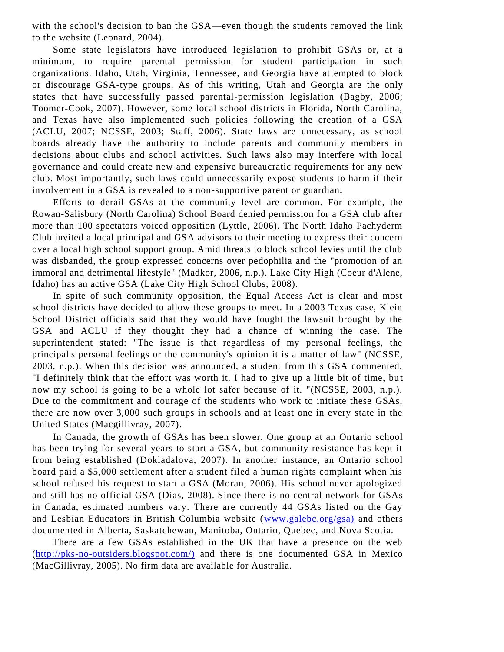with the school's decision to ban the GSA—even though the students removed the link to the website (Leonard, 2004).

Some state legislators have introduced legislation to prohibit GSAs or, at a minimum, to require parental permission for student participation in such organizations. Idaho, Utah, Virginia, Tennessee, and Georgia have attempted to block or discourage GSA-type groups. As of this writing, Utah and Georgia are the only states that have successfully passed parental-permission legislation (Bagby, 2006; Toomer-Cook, 2007). However, some local school districts in Florida, North Carolina, and Texas have also implemented such policies following the creation of a GSA (ACLU, 2007; NCSSE, 2003; Staff, 2006). State laws are unnecessary, as school boards already have the authority to include parents and community members in decisions about clubs and school activities. Such laws also may interfere with local governance and could create new and expensive bureaucratic requirements for any new club. Most importantly, such laws could unnecessarily expose students to harm if their involvement in a GSA is revealed to a non-supportive parent or guardian.

Efforts to derail GSAs at the community level are common. For example, the Rowan-Salisbury (North Carolina) School Board denied permission for a GSA club after more than 100 spectators voiced opposition (Lyttle, 2006). The North Idaho Pachyderm Club invited a local principal and GSA advisors to their meeting to express their concern over a local high school support group. Amid threats to block school levies until the club was disbanded, the group expressed concerns over pedophilia and the "promotion of an immoral and detrimental lifestyle" (Madkor, 2006, n.p.). Lake City High (Coeur d'Alene, Idaho) has an active GSA (Lake City High School Clubs, 2008).

In spite of such community opposition, the Equal Access Act is clear and most school districts have decided to allow these groups to meet. In a 2003 Texas case, Klein School District officials said that they would have fought the lawsuit brought by the GSA and ACLU if they thought they had a chance of winning the case. The superintendent stated: "The issue is that regardless of my personal feelings, the principal's personal feelings or the community's opinion it is a matter of law" (NCSSE, 2003, n.p.). When this decision was announced, a student from this GSA commented, "I definitely think that the effort was worth it. I had to give up a little bit of time, bu t now my school is going to be a whole lot safer because of it. "(NCSSE, 2003, n.p.). Due to the commitment and courage of the students who work to initiate these GSAs, there are now over 3,000 such groups in schools and at least one in every state in the United States (Macgillivray, 2007).

In Canada, the growth of GSAs has been slower. One group at an Ontario school has been trying for several years to start a GSA, but community resistance has kept it from being established (Dokladalova, 2007). In another instance, an Ontario school board paid a \$5,000 settlement after a student filed a human rights complaint when his school refused his request to start a GSA (Moran, 2006). His school never apologized and still has no official GSA (Dias, 2008). Since there is no central network for GSAs in Canada, estimated numbers vary. There are currently 44 GSAs listed on the Gay and Lesbian Educators in British Columbia website (www.galebc.org/gsa) and others documented in Alberta, Saskatchewan, Manitoba, Ontario, Quebec, and Nova Scotia.

There are a few GSAs established in the UK that have a presence on the web (http://pks-no-outsiders.blogspot.com/) and there is one documented GSA in Mexico (MacGillivray, 2005). No firm data are available for Australia.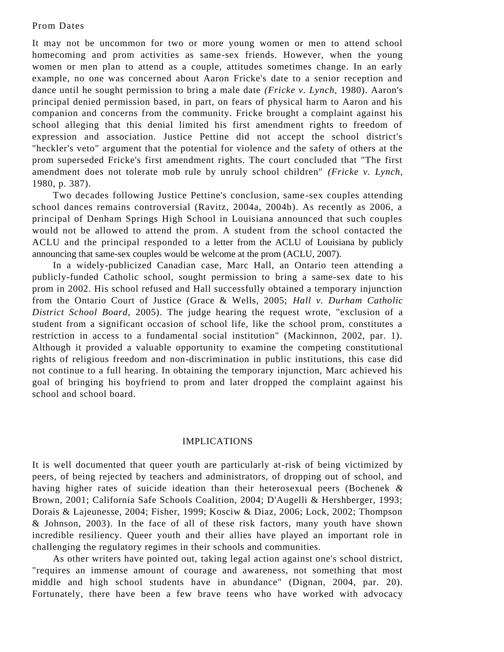#### Prom Dates

It may not be uncommon for two or more young women or men to attend school homecoming and prom activities as same-sex friends. However, when the young women or men plan to attend as a couple, attitudes sometimes change. In an early example, no one was concerned about Aaron Fricke's date to a senior reception and dance until he sought permission to bring a male date *(Fricke v. Lynch,* 1980). Aaron's principal denied permission based, in part, on fears of physical harm to Aaron and his companion and concerns from the community. Fricke brought a complaint against his school alleging that this denial limited his first amendment rights to freedom of expression and association. Justice Pettine did not accept the school district's "heckler's veto" argument that the potential for violence and the safety of others at the prom superseded Fricke's first amendment rights. The court concluded that "The first amendment does not tolerate mob rule by unruly school children" *(Fricke v. Lynch,*  1980, p. 387).

Two decades following Justice Pettine's conclusion, same -sex couples attending school dances remains controversial (Ravitz, 2004a, 2004b). As recently as 2006, a principal of Denham Springs High School in Louisiana announced that such couples would not be allowed to attend the prom. A student from the school contacted the ACLU and the principal responded to a letter from the ACLU of Louisiana by publicly announcing that same-sex couples would be welcome at the prom (ACLU, 2007).

In a widely-publicized Canadian case, Marc Hall, an Ontario teen attending a publicly-funded Catholic school, sought permission to bring a same-sex date to his prom in 2002. His school refused and Hall successfully obtained a temporary injunction from the Ontario Court of Justice (Grace & Wells, 2005; *Hall v. Durham Catholic District School Board,* 2005). The judge hearing the request wrote, "exclusion of a student from a significant occasion of school life, like the school prom, constitutes a restriction in access to a fundamental social institution" (Mackinnon, 2002, par. 1). Although it provided a valuable opportunity to examine the competing constitutional rights of religious freedom and non-discrimination in public institutions, this case did not continue to a full hearing. In obtaining the temporary injunction, Marc achieved his goal of bringing his boyfriend to prom and later dropped the complaint against his school and school board.

## IMPLICATIONS

It is well documented that queer youth are particularly at-risk of being victimized by peers, of being rejected by teachers and administrators, of dropping out of school, and having higher rates of suicide ideation than their heterosexual peers (Bochenek *&*  Brown, 2001; California Safe Schools Coalition, 2004; D'Augelli & Hershberger, 1993; Dorais & Lajeunesse, 2004; Fisher, 1999; Kosciw & Diaz, 2006; Lock, 2002; Thompson & Johnson, 2003). In the face of all of these risk factors, many youth have shown incredible resiliency. Queer youth and their allies have played an important role in challenging the regulatory regimes in their schools and communities.

As other writers have pointed out, taking legal action against one's school district, "requires an immense amount of courage and awareness, not something that most middle and high school students have in abundance" (Dignan, 2004, par. 20). Fortunately, there have been a few brave teens who have worked with advocacy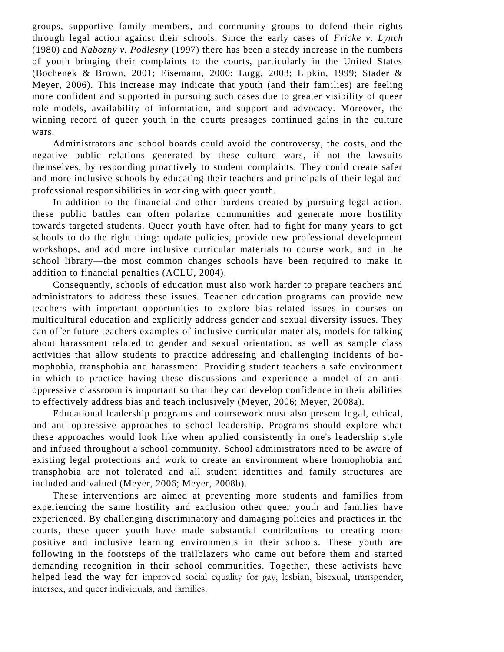groups, supportive family members, and community groups to defend their rights through legal action against their schools. Since the early cases of *Fricke v. Lynch*  (1980) and *Nabozny v. Podlesny* (1997) there has been a steady increase in the numbers of youth bringing their complaints to the courts, particularly in the United States (Bochenek & Brown, 2001; Eisemann, 2000; Lugg, 2003; Lipkin, 1999; Stader & Meyer, 2006). This increase may indicate that youth (and their families) are feeling more confident and supported in pursuing such cases due to greater visibility of queer role models, availability of information, and support and advocacy. Moreover, the winning record of queer youth in the courts presages continued gains in the culture wars.

Administrators and school boards could avoid the controversy, the costs, and the negative public relations generated by these culture wars, if not the lawsuits themselves, by responding proactively to student complaints. They could create safer and more inclusive schools by educating their teachers and principals of their legal and professional responsibilities in working with queer youth.

In addition to the financial and other burdens created by pursuing legal action, these public battles can often polarize communities and generate more hostility towards targeted students. Queer youth have often had to fight for many years to get schools to do the right thing: update policies, provide new professional development workshops, and add more inclusive curricular materials to course work, and in the school library—the most common changes schools have been required to make in addition to financial penalties (ACLU, 2004).

Consequently, schools of education must also work harder to prepare teachers and administrators to address these issues. Teacher education programs can provide new teachers with important opportunities to explore bias-related issues in courses on multicultural education and explicitly address gender and sexual diversity issues. They can offer future teachers examples of inclusive curricular materials, models for talking about harassment related to gender and sexual orientation, as well as sample class activities that allow students to practice addressing and challenging incidents of homophobia, transphobia and harassment. Providing student teachers a safe environment in which to practice having these discussions and experience a model of an antioppressive classroom is important so that they can develop confidence in their abilities to effectively address bias and teach inclusively (Meyer, 2006; Meyer, 2008a).

Educational leadership programs and coursework must also present legal, ethical, and anti-oppressive approaches to school leadership. Programs should explore what these approaches would look like when applied consistently in one's leadership style and infused throughout a school community. School administrators need to be aware of existing legal protections and work to create an environment where homophobia and transphobia are not tolerated and all student identities and family structures are included and valued (Meyer, 2006; Meyer, 2008b).

These interventions are aimed at preventing more students and families from experiencing the same hostility and exclusion other queer youth and families have experienced. By challenging discriminatory and damaging policies and practices in the courts, these queer youth have made substantial contributions to creating more positive and inclusive learning environments in their schools. These youth are following in the footsteps of the trailblazers who came out before them and started demanding recognition in their school communities. Together, these activists have helped lead the way for improved social equality for gay, lesbian, bisexual, transgender, intersex, and queer individuals, and families.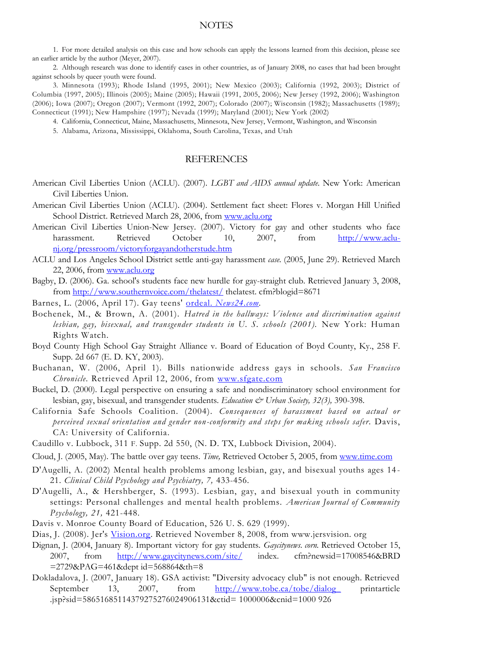#### NOTES

1. For more detailed analysis on this case and how schools can apply the lessons learned from this decision, please see an earlier article by the author (Meyer, 2007).

2. Although research was done to identify cases in other countries, as of January 2008, no cases that had been brought against schools by queer youth were found.

3. Minnesota (1993); Rhode Island (1995, 2001); New Mexico (2003); California (1992, 2003); District of Columbia (1997, 2005); Illinois (2005); Maine (2005); Hawaii (1991, 2005, 2006); New Jersey (1992, 2006); Washington (2006); Iowa (2007); Oregon (2007); Vermont (1992, 2007); Colorado (2007); Wisconsin (1982); Massachusetts (1989); Connecticut (1991); New Hampshire (1997); Nevada (1999); Maryland (2001); New York (2002)

4. California, Connecticut, Maine, Massachusetts, Minnesota, New Jersey, Vermont, Washington, and Wisconsin

5. Alabama, Arizona, Mississippi, Oklahoma, South Carolina, Texas, and Utah

## REFERENCES

- American Civil Liberties Union (ACLU). (2007). *LGBT and AIDS annual update.* New York: American Civil Liberties Union.
- American Civil Liberties Union (ACLU). (2004). Settlement fact sheet: Flores v. Morgan Hill Unified School District. Retrieved March 28, 2006, from www.aclu.org
- American Civil Liberties Union-New Jersey. (2007). Victory for gay and other students who face harassment. Retrieved October 10, 2007, from http://www.aclunj.org/pressroom/victoryforgayandotherstude.htm
- ACLU and Los Angeles School District settle anti-gay harassment *case.* (2005, June 29). Retrieved March 22, 2006, from www.aclu.org
- Bagby, D. (2006). Ga. school's students face new hurdle for gay-straight club. Retrieved January 3, 2008, from http://www.southernvoice.com/thelatest/ thelatest. cfm?blogid=8671
- Barnes, L. (2006, April 17). Gay teens' ordeal. *News24.com.*
- Bochenek, M., & Brown, A. (2001). *Hatred in the hallways: Violence and discrimi nation against lesbian, gay, bisexual, and transgender students in U. S. schools (2001).* New York: Human Rights Watch.
- Boyd County High School Gay Straight Alliance v. Board of Education of Boyd County, Ky., 258 F. Supp. 2d 667 (E. D. KY, 2003).
- Buchanan, W. (2006, April 1). Bills nationwide address gays in schools. *San Francisco Chronicle.* Retrieved April 12, 2006, from www.sfgate.com
- Buckel, D. (2000). Legal perspective on ensuring a safe and nondiscriminatory school environment for lesbian, gay, bisexual, and transgender students. *Education & Urban Society, 32(3),* 390-398.
- California Safe Schools Coalition. (2004). *Consequences of harassment based on actual or perceived sexual orientation and gender non -conformity and steps for making schools safer.* Davis, CA: University of California.
- Caudillo v. Lubbock, 311 F. Supp. 2d 550, (N. D. TX, Lubbock Division, 2004).
- Cloud, J. (2005, May). The battle over gay teens. *Time,* Retrieved October 5, 2005, from www.time.com
- D'Augelli, A. (2002) Mental health problems among lesbian, gay, and bisexual youths ages 14 21. *Clinical Child Psychology and Psychiatry, 7,* 433-456.
- D'Augelli, A., & Hershberger, S. (1993). Lesbian, gay, and bisexual youth in community settings: Personal challenges and mental health problems. *American Journal of Community Psychology, 21,* 421-448.
- Davis v. Monroe County Board of Education, 526 U. S. 629 (1999).
- Dias, J. (2008). Jer's *Vision.org*. Retrieved November 8, 2008, from www.jersvision. org
- Dignan, J. (2004, January 8). Important victory for gay students. *Gaycitynews. corn.* Retrieved October 15, 2007, from http://www.gaycitynews.com/site/ index. cfm?newsid=17008546&BRD =2729&PAG=461&dept id=568864&th=8
- Dokladalova, J. (2007, January 18). GSA activist: "Diversity advocacy club" is not enough. Retrieved September 13, 2007, from http://www.tobe.ca/tobe/dialog printarticle .jsp?sid=58651685114379275276024906131&ctid= 1000006&cnid=1000 926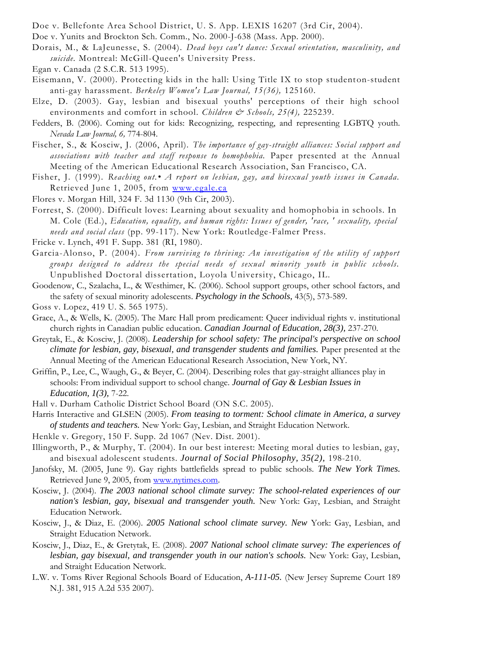- Doe v. Bellefonte Area School District, U. S. App. LEXIS 16207 (3rd Cir, 2004).
- Doe v. Yunits and Brockton Sch. Comm., No. 2000-J-638 (Mass. App. 2000).
- Dorais, M., & LaJeunesse, S. (2004). *Dead boys can't dance: Sexual orientation, masculinity, and suicide.* Montreal: McGill-Queen's University Press.
- Egan v. Canada (2 S.C.R. 513 1995).
- Eisemann, V. (2000). Protecting kids in the hall: Using Title IX to stop studenton-student anti-gay harassment. *Berkeley Women's Law Journal, 15(36),* 125160.
- Elze, D. (2003). Gay, lesbian and bisexual youths' perceptions of their high school environments and comfort in school. *Children & Schools*, 25(4), 225239.
- Fedders, B. (2006). Coming out for kids: Recognizing, respecting, and representing LGBTQ youth. *Nevada Law Journal, 6,* 774-804.
- Fischer, S., & Kosciw, J. (2006, April). *The importance of gay-straight alliances: Social support and associations with teacher and staff response to homophobia.* Paper presented at the Annual Meeting of the American Educational Research Association, San Francisco, CA.
- Fisher, J. (1999). *Reaching out.• A report on lesbian, gay, and bisexual youth issues in Canada.*  Retrieved June 1, 2005, from www.egale.ca
- Flores v. Morgan Hill, 324 F. 3d 1130 (9th Cir, 2003).
- Forrest, S. (2000). Difficult loves: Learning about sexuality and homophobia in schools. In M. Cole (Ed.), *Education, equality, and human rights: Issues of gender, 'race, ' sexuality, special needs and social class* (pp. 99-117). New York: Routledge-Falmer Press.
- Fricke v. Lynch, 491 F. Supp. 381 (RI, 1980).
- Garcia-Alonso, P. (2004). *From surviving to thriving: An investigation of the utility of support groups designed to address the special needs of sexual minority youth in public schools.*  Unpublished Doctoral dissertation, Loyola University, Chicago, IL.
- Goodenow, C., Szalacha, L., & Westhimer, K. (2006). School support groups, other school factors, and the safety of sexual minority adolescents. *Psychology in the Schools,* 43(5), 573-589.
- Goss v. Lopez, 419 U. S. 565 1975).
- Grace, A., & Wells, K. (2005). The Marc Hall prom predicament: Queer individual rights v. institutional church rights in Canadian public education. *Canadian Journal of Education, 28(3),* 237-270.
- Greytak, E., & Kosciw, J. (2008). *Leadership for school safety: The principal's perspective on school climate for lesbian, gay, bisexual, and transgender students and families.* Paper presented at the Annual Meeting of the American Educational Research Association, New York, NY.
- Griffin, P., Lee, C., Waugh, G., & Beyer, C. (2004). Describing roles that gay-straight alliances play in schools: From individual support to school change. *Journal of Gay & Lesbian Issues in Education, 1(3),* 7-22.
- Hall v. Durham Catholic District School Board (ON S.C. 2005).
- Harris Interactive and GLSEN (2005). *From teasing to torment: School climate in America, a survey of students and teachers.* New York: Gay, Lesbian, and Straight Education Network.
- Henkle v. Gregory, 150 F. Supp. 2d 1067 (Nev. Dist. 2001).
- Illingworth, P., & Murphy, T. (2004). In our best interest: Meeting moral duties to lesbian, gay, and bisexual adolescent students. *Journal of Social Philosophy, 35(2),* 198-210.
- Janofsky, M. (2005, June 9). Gay rights battlefields spread to public schools. *The New York Times.*  Retrieved June 9, 2005, from www.nytimes.com.
- Kosciw, J. (2004). *The 2003 national school climate survey: The school-related experiences of our nation's lesbian, gay, bisexual and transgender youth.* New York: Gay, Lesbian, and Straight Education Network.
- Kosciw, J., & Diaz, E. (2006). *2005 National school climate survey. New* York: Gay, Lesbian, and Straight Education Network.
- Kosciw, J., Diaz, E., & Gretytak, E. (2008). *2007 National school climate survey: The experiences of*  lesbian, gay bisexual, and transgender youth in our nation's schools. New York: Gay, Lesbian, and Straight Education Network.
- L.W. v. Toms River Regional Schools Board of Education, *A-111-05.* (New Jersey Supreme Court 189 N.J. 381, 915 A.2d 535 2007).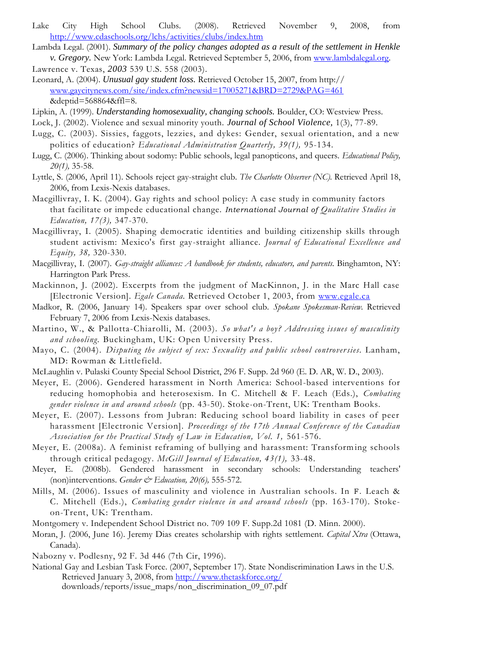- Lake City High School Clubs. (2008). Retrieved November 9, 2008, from http://www.cdaschools.org/lchs/activities/clubs/index.htm
- Lambda Legal. (2001). *Summary of the policy changes adopted as a result of the settlement in Henkle v. Gregory.* New York: Lambda Legal. Retrieved September 5, 2006, from www.lambdalegal.org.
- Lawrence v. Texas, *2003* 539 U.S. 558 (2003).
- Leonard, A. (2004). *Unusual gay student loss.* Retrieved October 15, 2007, from http:// www.gaycitynews.com/site/index.cfm?newsid=17005271&BRD=2729&PAG=461 &deptid=568864&ffl=8.
- Lipkin, A. (1999). *Understanding homosexuality, changing schools.* Boulder, CO: Westview Press.
- Lock, J. (2002). Violence and sexual minority youth. *Journal of School Violence,* 1(3), 77-89.
- Lugg, C. (2003). Sissies, faggots, lezzies, and dykes: Gender, sexual orientation, and a new politics of education? *Educational Administration Quarterly, 39(1),* 95-134.
- Lugg, C. (2006). Thinking about sodomy: Public schools, legal panopticons, and queers. *Educational Policy, 20(1),* 35-58.
- Lyttle, S. (2006, April 11). Schools reject gay-straight club. *The Charlotte Observer (NC).* Retrieved April 18, 2006, from Lexis-Nexis databases.
- Macgillivray, I. K. (2004). Gay rights and school policy: A case study in community factors that facilitate or impede educational change. *International Journal of Qualitative Studies in Education, 17(3),* 347-370.
- Macgillivray, I. (2005). Shaping democratic identities and building citizenship skills through student activism: Mexico's first gay-straight alliance. *Journal of Educational Excellence and Equity, 38,* 320-330.
- Macgillivray, I. (2007). *Gay-straight alliances: A handbook for students, educators, and parents.* Binghamton, NY: Harrington Park Press.
- Mackinnon, J. (2002). Excerpts from the judgment of MacKinnon, J. in the Marc Hall case [Electronic Version]. *Egale Canada.* Retrieved October 1, 2003, from www.egale.ca
- Madkor, R. (2006, January 14). Speakers spar over school club. *Spokane Spokesman-Review.* Retrieved February 7, 2006 from Lexis-Nexis databases.
- Martino, W., & Pallotta-Chiarolli, M. (2003). *So what's a boy? Addressing issues of masculinity and schooling.* Buckingham, UK: Open University Press.
- Mayo, C. (2004). *Disputing the subject of sex: Sexuality and public school controversies.* Lanham, MD: Rowman & Littlefield.
- McLaughlin v. Pulaski County Special School District, 296 F. Supp. 2d 960 (E. D. AR, W. D., 2003).
- Meyer, E. (2006). Gendered harassment in North America: School-based interventions for reducing homophobia and heterosexism. In C. Mitchell & F. Leach (Eds.), *Combating gender violence in and around schools* (pp. 43-50). Stoke-on-Trent, UK: Trentham Books.
- Meyer, E. (2007). Lessons from Jubran: Reducing school board liability in cases of peer harassment [Electronic Version]. *Proceedings of the 17th Annual Conference of the Canadian Association for the Practical Study of Law in Education, Vol. 1,* 561-576.
- Meyer, E. (2008a). A feminist reframing of bullying and harassment: Transforming schools through critical pedagogy. *McGill Journal of Education, 43(1),* 33-48.
- Meyer, E. (2008b). Gendered harassment in secondary schools: Understanding teachers' (non)interventions. *Gender & Education, 20(6),* 555-572.
- Mills, M. (2006). Issues of masculinity and violence in Australian schools. In F. Leach & C. Mitchell (Eds.), *Combating gender violence in and around schools* (pp. 163-170). Stokeon-Trent, UK: Trentham.
- Montgomery v. Independent School District no. 709 109 F. Supp.2d 1081 (D. Minn. 2000).
- Moran, J. (2006, June 16). Jeremy Dias creates scholarship with rights settlement. *Capital Xtra* (Ottawa, Canada).
- Nabozny v. Podlesny, 92 F. 3d 446 (7th Cir, 1996).
- National Gay and Lesbian Task Force. (2007, September 17). State Nondiscrimination Laws in the U.S. Retrieved January 3, 2008, from http://www.thetaskforce.org/ downloads/reports/issue\_maps/non\_discrimination\_09\_07.pdf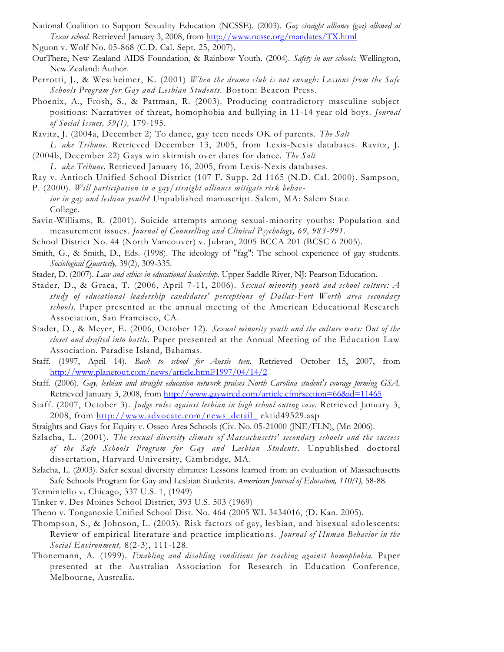- National Coalition to Support Sexuality Education (NCSSE). (2003). *Gay straight alliance (gsa) allowed at Texas school.* Retrieved January 3, 2008, from http://www.ncsse.org/mandates/TX.html
- Nguon v. Wolf No. 05-868 (C.D. Cal. Sept. 25, 2007).
- OutThere, New Zealand AIDS Foundation, & Rainbow Youth. (2004). *Safety in our schools.* Wellington, New Zealand: Author.
- Perrotti, J., & Westheimer, K. (2001) *When the drama club is not enough: Lessons from the Safe Schools Program for Gay and Lesbian Students.* Boston: Beacon Press.
- Phoenix, A., Frosh, S., & Pattman, R. (2003). Producing contradictory masculine subject positions: Narratives of threat, homophobia and bullying in 11-14 year old boys. *Journal of Social Issues, 59(1),* 179-195.
- Ravitz, J. (2004a, December 2) To dance, gay teen needs OK of parents. *The Salt*
- *L ake Tribune.* Retrieved December 13, 2005, from Lexis-Nexis databases. Ravitz, J. (2004b, December 22) Gays win skirmish over dates for dance. *The Salt*
	- *L ake Tribune.* Retrieved January 16, 2005, from Lexis-Nexis databases.
- Ray v. Antioch Unified School District (107 F. Supp. 2d 1165 (N.D. Cal. 2000). Sampson,
- P. (2000). *Will participation in a gay/straight alliance mitigate risk behavior in gay and lesbian youth?* Unpublished manuscript. Salem, MA: Salem State College.
- Savin-Williams, R. (2001). Suicide attempts among sexual-minority youths: Population and measurement issues. *Journal of Counselling and Clinical Psychology, 69, 983-991.*
- School District No. 44 (North Vancouver) v. Jubran, 2005 BCCA 201 (BCSC 6 2005).
- Smith, G., & Smith, D., Eds. (1998). The ideology of "fag": The school experience of gay students. *Sociological Quarterly,* 39(2), 309-335.
- Stader, D. (2007). *Law and ethics in educational leadership.* Upper Saddle River, NJ: Pearson Education.
- Stader, D., & Graca, T. (2006, April 7-11, 2006). *Sexual minority youth and school culture: A study of educational leadership candidates' perceptions of Dallas-Fort Worth area secondary schools.* Paper presented at the annual meeting of the American Educational Research Association, San Francisco, CA.
- Stader, D., & Meyer, E. (2006, October 12). *Sexual minority youth and the culture wars: Out of the closet and drafted into battle.* Paper presented at the Annual Meeting of the Education Law Association. Paradise Island, Bahamas.
- Staff. (1997, April 14). *Back to school for Aussie teen.* Retrieved October 15, 2007, from http://www.planetout.com/news/article.html?1997/04/14/2
- Staff. (2006). *Gay, lesbian and straight education network praises North Carolina student's courage forming GSA.*  Retrieved January 3, 2008, from http://www.gaywired.com/article.cfm?section=66&id=11465
- Staff. (2007, October 3). *Judge rules against lesbian in high school outing case.* Retrieved January 3, 2008, from http://www.advocate.com/news\_detail\_ektid49529.asp
- Straights and Gays for Equity v. Osseo Area Schools (Civ. No. 05-21000 (JNE/FLN), (Mn 2006).
- Szlacha, L. (2001). *The sexual diversity climate of Massachusetts' secondary schools and the success of the Safe Schools Program for Gay and Lesbian Students.* Unpublished doctoral dissertation, Harvard University, Cambridge, MA.
- Szlacha, L. (2003). Safer sexual diversity climates: Lessons learned from an evaluation of Massachusetts Safe Schools Program for Gay and Lesbian Students. *American Journal of Education, 110(1),* 58-88.
- Terminiello v. Chicago, 337 U.S. 1, (1949)
- Tinker v. Des Moines School District, 393 U.S. 503 (1969)
- Theno v. Tonganoxie Unified School Dist. No. 464 (2005 WL 3434016, (D. Kan. 2005).
- Thompson, S., & Johnson, L. (2003). Risk factors of gay, lesbian, and bisexual adolescents: Review of empirical literature and practice implications. *Journal of Human Behavior in the Social Environment,* 8(2-3), 111-128.
- Thonemann, A. (1999). *Enabling and disabling conditions for teaching against homophobia.* Paper presented at the Australian Association for Research in Education Conference, Melbourne, Australia.